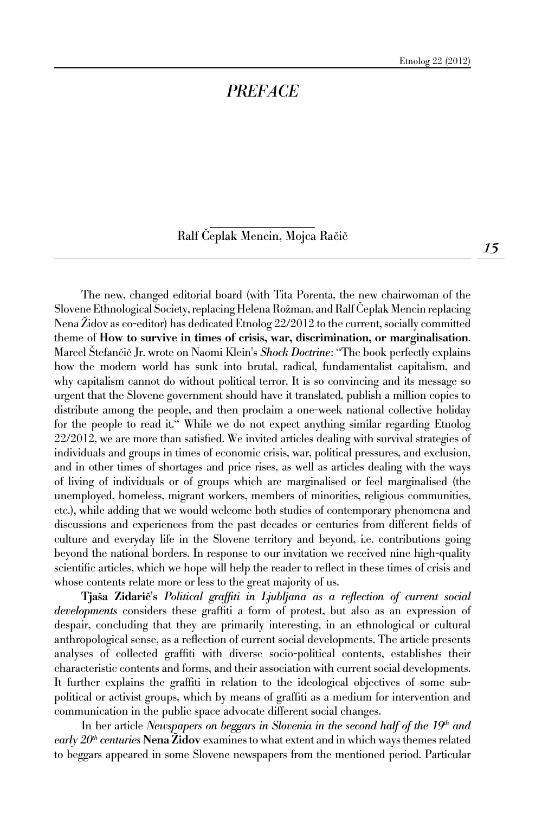## *PREFACE*

Ralf Čeplak Mencin, Mojca Račič

The new, changed editorial board (with Tita Porenta, the new chairwoman of the Slovene Ethnological Society, replacing Helena Rožman, and Ralf ^eplak Mencin replacing Nena Židov as co-editor) has dedicated Etnolog 22/2012 to the current, socially committed theme of How to survive in times of crisis, war, discrimination, or marginalisation. Marcel Štefančič Jr. wrote on Naomi Klein's *Shock Doctrine*: "The book perfectly explains how the modern world has sunk into brutal, radical, fundamentalist capitalism, and why capitalism cannot do without political terror. It is so convincing and its message so urgent that the Slovene government should have it translated, publish a million copies to distribute among the people, and then proclaim a one-week national collective holiday for the people to read it." While we do not expect anything similar regarding Etnolog 22/2012, we are more than satisfied. We invited articles dealing with survival strategies of individuals and groups in times of economic crisis, war, political pressures, and exclusion, and in other times of shortages and price rises, as well as articles dealing with the ways of living of individuals or of groups which are marginalised or feel marginalised (the unemployed, homeless, migrant workers, members of minorities, religious communities, etc.), while adding that we would welcome both studies of contemporary phenomena and discussions and experiences from the past decades or centuries from different fields of culture and everyday life in the Slovene territory and beyond, i.e. contributions going beyond the national borders. In response to our invitation we received nine high-quality scientific articles, which we hope will help the reader to reflect in these times of crisis and whose contents relate more or less to the great majority of us.

Tjaša Zidarič's Political graffiti in Ljubljana as a reflection of current social *developments* considers these graffiti a form of protest, but also as an expression of despair, concluding that they are primarily interesting, in an ethnological or cultural anthropological sense, as a reflection of current social developments. The article presents analyses of collected graffiti with diverse socio-political contents, establishes their characteristic contents and forms, and their association with current social developments. It further explains the graffiti in relation to the ideological objectives of some subpolitical or activist groups, which by means of graffiti as a medium for intervention and communication in the public space advocate different social changes.

In her article *Newspapers on beggars in Slovenia in the second half of the 19<sup>th</sup> and early 20th centuries* Nena Židov examines to what extent and in which ways themes related to beggars appeared in some Slovene newspapers from the mentioned period. Particular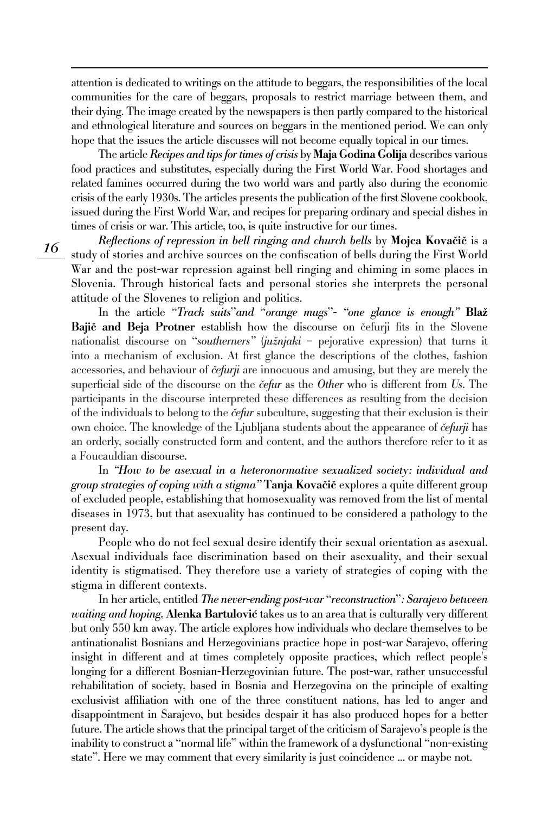attention is dedicated to writings on the attitude to beggars, the responsibilities of the local communities for the care of beggars, proposals to restrict marriage between them, and their dying. The image created by the newspapers is then partly compared to the historical and ethnological literature and sources on beggars in the mentioned period. We can only hope that the issues the article discusses will not become equally topical in our times.

The article *Recipes and tips for times of crisis* by Maja Godina Golija describes various food practices and substitutes, especially during the First World War. Food shortages and related famines occurred during the two world wars and partly also during the economic crisis of the early 1930s. The articles presents the publication of the first Slovene cookbook, issued during the First World War, and recipes for preparing ordinary and special dishes in times of crisis or war. This article, too, is quite instructive for our times.

*Reflections of repression in bell ringing and church bells by Mojca Kovačič is a* study of stories and archive sources on the confiscation of bells during the First World War and the post-war repression against bell ringing and chiming in some places in Slovenia. Through historical facts and personal stories she interprets the personal attitude of the Slovenes to religion and politics.

*16*

In the article "*Track suits*"*and* "*orange mugs*"*- "one glance is enough"* Blaž Bajič and Beja Protner establish how the discourse on čefurji fits in the Slovene nationalist discourse on "*southerners"* (*južnjaki* – pejorative expression) that turns it into a mechanism of exclusion. At first glance the descriptions of the clothes, fashion accessories, and behaviour of *čefurji* are innocuous and amusing, but they are merely the superficial side of the discourse on the *čefur* as the *Other* who is different from *Us*. The participants in the discourse interpreted these differences as resulting from the decision of the individuals to belong to the *~efur* subculture, suggesting that their exclusion is their own choice. The knowledge of the Ljubljana students about the appearance of *cefurji* has an orderly, socially constructed form and content, and the authors therefore refer to it as a Foucauldian discourse.

In *"How to be asexual in a heteronormative sexualized society: individual and*  group strategies of coping with a stigma" **Tanja Kovačič** explores a quite different group of excluded people, establishing that homosexuality was removed from the list of mental diseases in 1973, but that asexuality has continued to be considered a pathology to the present day.

People who do not feel sexual desire identify their sexual orientation as asexual. Asexual individuals face discrimination based on their asexuality, and their sexual identity is stigmatised. They therefore use a variety of strategies of coping with the stigma in different contexts.

In her article, entitled *The never-ending post-war* "*reconstruction*"*: Sarajevo between waiting and hoping*, **Alenka Bartulović** takes us to an area that is culturally very different but only 550 km away. The article explores how individuals who declare themselves to be antinationalist Bosnians and Herzegovinians practice hope in post-war Sarajevo, offering insight in different and at times completely opposite practices, which reflect people's longing for a different Bosnian-Herzegovinian future. The post-war, rather unsuccessful rehabilitation of society, based in Bosnia and Herzegovina on the principle of exalting exclusivist affiliation with one of the three constituent nations, has led to anger and disappointment in Sarajevo, but besides despair it has also produced hopes for a better future. The article shows that the principal target of the criticism of Sarajevo's people is the inability to construct a "normal life" within the framework of a dysfunctional "non-existing state". Here we may comment that every similarity is just coincidence ... or maybe not.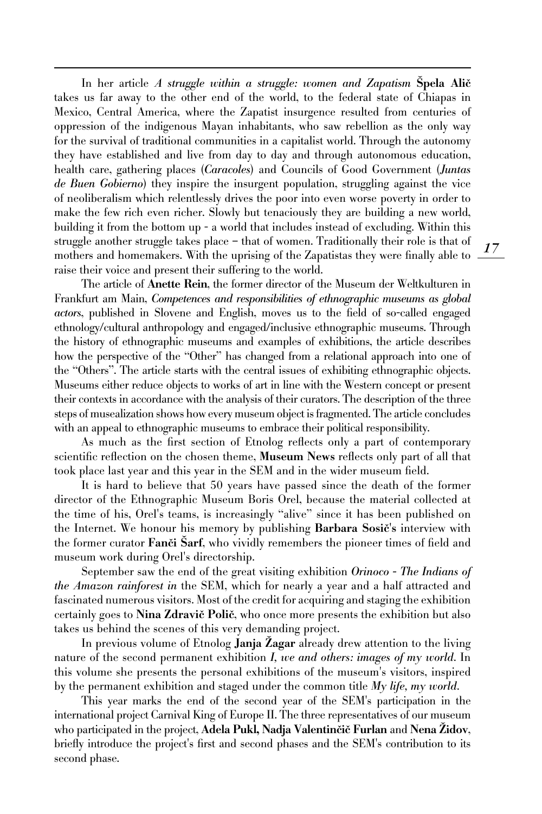In her article *A struggle within a struggle: women and Zapatism* Špela Alič takes us far away to the other end of the world, to the federal state of Chiapas in Mexico, Central America, where the Zapatist insurgence resulted from centuries of oppression of the indigenous Mayan inhabitants, who saw rebellion as the only way for the survival of traditional communities in a capitalist world. Through the autonomy they have established and live from day to day and through autonomous education, health care, gathering places (*Caracoles*) and Councils of Good Government (*Juntas de Buen Gobierno*) they inspire the insurgent population, struggling against the vice of neoliberalism which relentlessly drives the poor into even worse poverty in order to make the few rich even richer. Slowly but tenaciously they are building a new world, building it from the bottom up - a world that includes instead of excluding. Within this struggle another struggle takes place – that of women. Traditionally their role is that of mothers and homemakers. With the uprising of the Zapatistas they were finally able to raise their voice and present their suffering to the world.

The article of Anette Rein, the former director of the Museum der Weltkulturen in Frankfurt am Main, *Competences and responsibilities of ethnographic museums as global actors*, published in Slovene and English, moves us to the field of so-called engaged ethnology/cultural anthropology and engaged/inclusive ethnographic museums. Through the history of ethnographic museums and examples of exhibitions, the article describes how the perspective of the "Other" has changed from a relational approach into one of the "Others". The article starts with the central issues of exhibiting ethnographic objects. Museums either reduce objects to works of art in line with the Western concept or present their contexts in accordance with the analysis of their curators. The description of the three steps of musealization shows how every museum object is fragmented. The article concludes with an appeal to ethnographic museums to embrace their political responsibility.

As much as the first section of Etnolog reflects only a part of contemporary scientific reflection on the chosen theme, Museum News reflects only part of all that took place last year and this year in the SEM and in the wider museum field.

It is hard to believe that 50 years have passed since the death of the former director of the Ethnographic Museum Boris Orel, because the material collected at the time of his, Orel's teams, is increasingly "alive" since it has been published on the Internet. We honour his memory by publishing Barbara Sosič's interview with the former curator Fanči Sarf, who vividly remembers the pioneer times of field and museum work during Orel's directorship.

September saw the end of the great visiting exhibition *Orinoco - The Indians of the Amazon rainforest in* the SEM, which for nearly a year and a half attracted and fascinated numerous visitors. Most of the credit for acquiring and staging the exhibition certainly goes to Nina Zdravič Polič, who once more presents the exhibition but also takes us behind the scenes of this very demanding project.

In previous volume of Etnolog Janja Zagar already drew attention to the living nature of the second permanent exhibition *I, we and others: images of my world*. In this volume she presents the personal exhibitions of the museum's visitors, inspired by the permanent exhibition and staged under the common title *My life, my world*.

This year marks the end of the second year of the SEM's participation in the international project Carnival King of Europe II. The three representatives of our museum who participated in the project, Adela Pukl, Nadja Valentinčič Furlan and Nena Židov, briefly introduce the project's first and second phases and the SEM's contribution to its second phase.